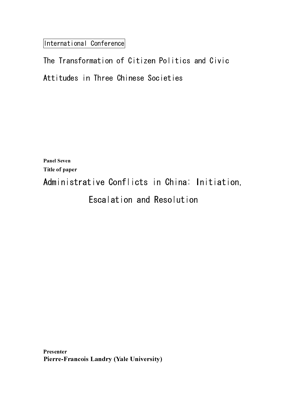International Conference

**Panel Seven** Panel Seven Title of paper

Administrative Conflicts in China: Initiation,

Escalation and Resolution

Presenter Presenter<br>Presenter Pierre-Francois Landry (Yale University)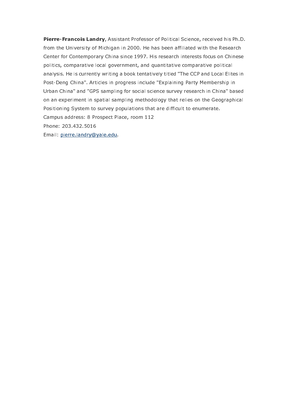Pierre-Francois Landry, Assistant Professor of Political Science, received his Ph.D. from the University of Michigan in 2000. He has been affiliated with the Research Center for Contemporary China since 1997. His research interests focus on Chinese politics, comparative local government, and quantitative comparative political analysis. He is currently writing a book tentatively titled "The CCP and Local Elites in Post-Deng China". Articles in progress include "Explaining Party Membership in Urban China" and "GPS sampling for social science survey research in China" based on an experiment in spatial sampling methodology that relies on the Geographical Positioning System to survey populations that are difficult to enumerate. Campus address: 8 Prospect Place, room 112 Phone: 203.432.5016

Email: pierre.landry@yale.edu.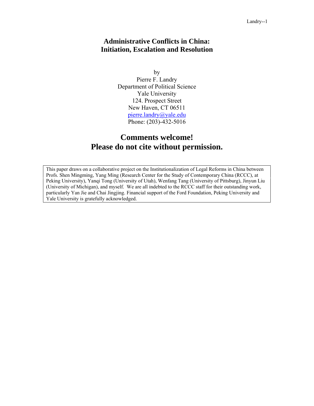## **Administrative Conflicts in China: Initiation, Escalation and Resolution**

by Pierre F. Landry Department of Political Science Yale University 124. Prospect Street New Haven, CT 06511 pierre.landry@yale.edu Phone: (203)-432-5016

# **Comments welcome! Please do not cite without permission.**

This paper draws on a collaborative project on the Institutionalization of Legal Reforms in China between Profs. Shen Mingming, Yang Ming (Research Center for the Study of Contemporary China (RCCC), at Peking University), Yanqi Tong (University of Utah), Wenfang Tang (University of Pittsburg), Jinyun Liu (University of Michigan), and myself. We are all indebted to the RCCC staff for their outstanding work, particularly Yan Jie and Chai Jingjing. Financial support of the Ford Foundation, Peking University and Yale University is gratefully acknowledged.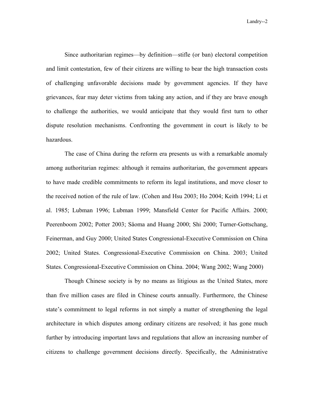Landry--2

 Since authoritarian regimes—by definition—stifle (or ban) electoral competition and limit contestation, few of their citizens are willing to bear the high transaction costs of challenging unfavorable decisions made by government agencies. If they have grievances, fear may deter victims from taking any action, and if they are brave enough to challenge the authorities, we would anticipate that they would first turn to other dispute resolution mechanisms. Confronting the government in court is likely to be hazardous.

The case of China during the reform era presents us with a remarkable anomaly among authoritarian regimes: although it remains authoritarian, the government appears to have made credible commitments to reform its legal institutions, and move closer to the received notion of the rule of law. (Cohen and Hsu 2003; Ho 2004; Keith 1994; Li et al. 1985; Lubman 1996; Lubman 1999; Mansfield Center for Pacific Affairs. 2000; Peerenboom 2002; Potter 2003; Såoma and Huang 2000; Shi 2000; Turner-Gottschang, Feinerman, and Guy 2000; United States Congressional-Executive Commission on China 2002; United States. Congressional-Executive Commission on China. 2003; United States. Congressional-Executive Commission on China. 2004; Wang 2002; Wang 2000)

Though Chinese society is by no means as litigious as the United States, more than five million cases are filed in Chinese courts annually. Furthermore, the Chinese state's commitment to legal reforms in not simply a matter of strengthening the legal architecture in which disputes among ordinary citizens are resolved; it has gone much further by introducing important laws and regulations that allow an increasing number of citizens to challenge government decisions directly. Specifically, the Administrative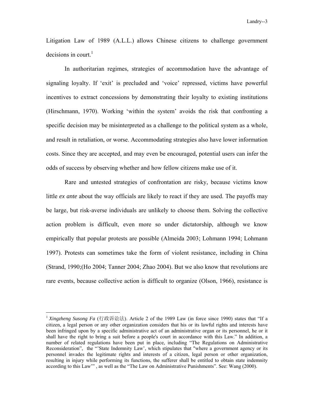Litigation Law of 1989 (A.L.L.) allows Chinese citizens to challenge government decisions in court. $<sup>1</sup>$ </sup>

In authoritarian regimes, strategies of accommodation have the advantage of signaling loyalty. If 'exit' is precluded and 'voice' repressed, victims have powerful incentives to extract concessions by demonstrating their loyalty to existing institutions (Hirschmann, 1970). Working 'within the system' avoids the risk that confronting a specific decision may be misinterpreted as a challenge to the political system as a whole, and result in retaliation, or worse. Accommodating strategies also have lower information costs. Since they are accepted, and may even be encouraged, potential users can infer the odds of success by observing whether and how fellow citizens make use of it.

Rare and untested strategies of confrontation are risky, because victims know little *ex ante* about the way officials are likely to react if they are used. The payoffs may be large, but risk-averse individuals are unlikely to choose them. Solving the collective action problem is difficult, even more so under dictatorship, although we know empirically that popular protests are possible (Almeida 2003; Lohmann 1994; Lohmann 1997). Protests can sometimes take the form of violent resistance, including in China (Strand, 1990;(Ho 2004; Tanner 2004; Zhao 2004). But we also know that revolutions are rare events, because collective action is difficult to organize (Olson, 1966), resistance is

<sup>&</sup>lt;sup>1</sup> Xingzheng Susong Fa (行政诉讼法). Article 2 of the 1989 Law (in force since 1990) states that "If a citizen, a legal person or any other organization considers that his or its lawful rights and interests have been infringed upon by a specific administrative act of an administrative organ or its personnel, he or it shall have the right to bring a suit before a people's court in accordance with this Law." In addition, a number of related regulations have been put in place, including "The Regulations on Administrative Reconsideration", the "'State Indemnity Law', which stipulates that "where a government agency or its personnel invades the legitimate rights and interests of a citizen, legal person or other organization, resulting in injury while performing its functions, the sufferer shall be entitled to obtain state indemnity according to this Law'" , as well as the "The Law on Administrative Punishments". See: Wang (2000).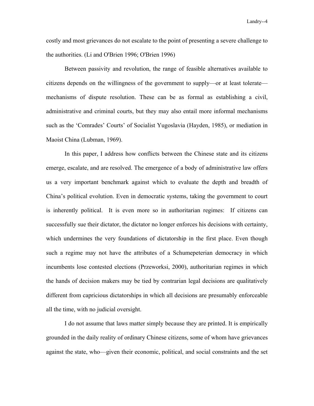Landry--4

costly and most grievances do not escalate to the point of presenting a severe challenge to the authorities. (Li and O'Brien 1996; O'Brien 1996)

 Between passivity and revolution, the range of feasible alternatives available to citizens depends on the willingness of the government to supply—or at least tolerate mechanisms of dispute resolution. These can be as formal as establishing a civil, administrative and criminal courts, but they may also entail more informal mechanisms such as the 'Comrades' Courts' of Socialist Yugoslavia (Hayden, 1985), or mediation in Maoist China (Lubman, 1969).

 In this paper, I address how conflicts between the Chinese state and its citizens emerge, escalate, and are resolved. The emergence of a body of administrative law offers us a very important benchmark against which to evaluate the depth and breadth of China's political evolution. Even in democratic systems, taking the government to court is inherently political. It is even more so in authoritarian regimes: If citizens can successfully sue their dictator, the dictator no longer enforces his decisions with certainty, which undermines the very foundations of dictatorship in the first place. Even though such a regime may not have the attributes of a Schumepeterian democracy in which incumbents lose contested elections (Przeworksi, 2000), authoritarian regimes in which the hands of decision makers may be tied by contrarian legal decisions are qualitatively different from capricious dictatorships in which all decisions are presumably enforceable all the time, with no judicial oversight.

 I do not assume that laws matter simply because they are printed. It is empirically grounded in the daily reality of ordinary Chinese citizens, some of whom have grievances against the state, who—given their economic, political, and social constraints and the set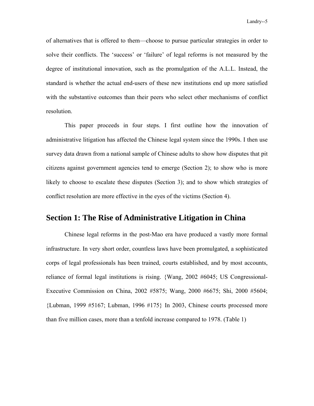of alternatives that is offered to them—choose to pursue particular strategies in order to solve their conflicts. The 'success' or 'failure' of legal reforms is not measured by the degree of institutional innovation, such as the promulgation of the A.L.L. Instead, the standard is whether the actual end-users of these new institutions end up more satisfied with the substantive outcomes than their peers who select other mechanisms of conflict resolution.

 This paper proceeds in four steps. I first outline how the innovation of administrative litigation has affected the Chinese legal system since the 1990s. I then use survey data drawn from a national sample of Chinese adults to show how disputes that pit citizens against government agencies tend to emerge (Section 2); to show who is more likely to choose to escalate these disputes (Section 3); and to show which strategies of conflict resolution are more effective in the eyes of the victims (Section 4).

## **Section 1: The Rise of Administrative Litigation in China**

Chinese legal reforms in the post-Mao era have produced a vastly more formal infrastructure. In very short order, countless laws have been promulgated, a sophisticated corps of legal professionals has been trained, courts established, and by most accounts, reliance of formal legal institutions is rising. {Wang, 2002 #6045; US Congressional-Executive Commission on China, 2002 #5875; Wang, 2000 #6675; Shi, 2000 #5604; {Lubman, 1999 #5167; Lubman, 1996 #175} In 2003, Chinese courts processed more than five million cases, more than a tenfold increase compared to 1978. (Table 1)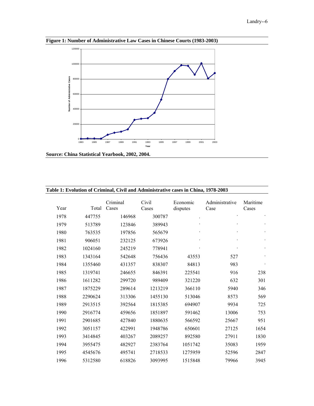

**Figure 1: Number of Administrative Law Cases in Chinese Courts (1983-2003)** 



| Year | Total   | Criminal<br>Cases | Civil<br>Cases | Economic<br>disputes | Administrative<br>Case | Maritime<br>Cases |
|------|---------|-------------------|----------------|----------------------|------------------------|-------------------|
| 1978 | 447755  | 146968            | 300787         |                      |                        |                   |
| 1979 | 513789  | 123846            | 389943         |                      |                        |                   |
| 1980 | 763535  | 197856            | 565679         |                      |                        |                   |
| 1981 | 906051  | 232125            | 673926         |                      |                        |                   |
| 1982 | 1024160 | 245219            | 778941         |                      |                        |                   |
| 1983 | 1343164 | 542648            | 756436         | 43553                | 527                    |                   |
| 1984 | 1355460 | 431357            | 838307         | 84813                | 983                    |                   |
| 1985 | 1319741 | 246655            | 846391         | 225541               | 916                    | 238               |
| 1986 | 1611282 | 299720            | 989409         | 321220               | 632                    | 301               |
| 1987 | 1875229 | 289614            | 1213219        | 366110               | 5940                   | 346               |
| 1988 | 2290624 | 313306            | 1455130        | 513046               | 8573                   | 569               |
| 1989 | 2913515 | 392564            | 1815385        | 694907               | 9934                   | 725               |
| 1990 | 2916774 | 459656            | 1851897        | 591462               | 13006                  | 753               |
| 1991 | 2901685 | 427840            | 1880635        | 566592               | 25667                  | 951               |
| 1992 | 3051157 | 422991            | 1948786        | 650601               | 27125                  | 1654              |
| 1993 | 3414845 | 403267            | 2089257        | 892580               | 27911                  | 1830              |
| 1994 | 3955475 | 482927            | 2383764        | 1051742              | 35083                  | 1959              |
| 1995 | 4545676 | 495741            | 2718533        | 1275959              | 52596                  | 2847              |
| 1996 | 5312580 | 618826            | 3093995        | 1515848              | 79966                  | 3945              |

### **Table 1: Evolution of Criminal, Civil and Administrative cases in China, 1978-2003**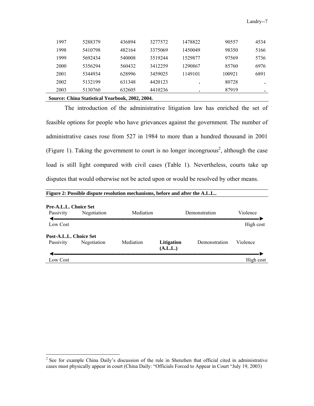|      | Source: China Statistical Yearbook, 2002, 2004. |        |         |         |        |      |
|------|-------------------------------------------------|--------|---------|---------|--------|------|
| 2003 | 5130760                                         | 632605 | 4410236 |         | 87919  |      |
| 2002 | 5132199                                         | 631348 | 4420123 |         | 80728  |      |
| 2001 | 5344934                                         | 628996 | 3459025 | 1149101 | 100921 | 6891 |
| 2000 | 5356294                                         | 560432 | 3412259 | 1290867 | 85760  | 6976 |
| 1999 | 5692434                                         | 540008 | 3519244 | 1529877 | 97569  | 5736 |
| 1998 | 5410798                                         | 482164 | 3375069 | 1450049 | 98350  | 5166 |
| 1997 | 5288379                                         | 436894 | 3277572 | 1478822 | 90557  | 4534 |

The introduction of the administrative litigation law has enriched the set of feasible options for people who have grievances against the government. The number of administrative cases rose from 527 in 1984 to more than a hundred thousand in 2001 (Figure 1). Taking the government to court is no longer incongruous<sup>2</sup>, although the case load is still light compared with civil cases (Table 1). Nevertheless, courts take up disputes that would otherwise not be acted upon or would be resolved by other means.

|                                           | Figure 2: Possible dispute resolution mechanisms, before and after the A.L.L |           |                        |               |           |  |  |  |  |  |
|-------------------------------------------|------------------------------------------------------------------------------|-----------|------------------------|---------------|-----------|--|--|--|--|--|
| <b>Pre-A.L.L. Choice Set</b><br>Passivity | Negotiation                                                                  | Mediation |                        | Demonstration | Violence  |  |  |  |  |  |
| Low Cost                                  |                                                                              |           |                        |               | High cost |  |  |  |  |  |
| Post-A.L.L. Choice Set<br>Passivity       | Negotiation                                                                  | Mediation | Litigation<br>(A.L.L.) | Demonstration | Violence  |  |  |  |  |  |
| Low Cost                                  |                                                                              |           |                        |               | High cost |  |  |  |  |  |

<sup>&</sup>lt;sup>2</sup> See for example China Daily's discussion of the rule in Shenzhen that official cited in administrative cases must physically appear in court (China Daily: "Officials Forced to Appear in Court "July 19, 2003)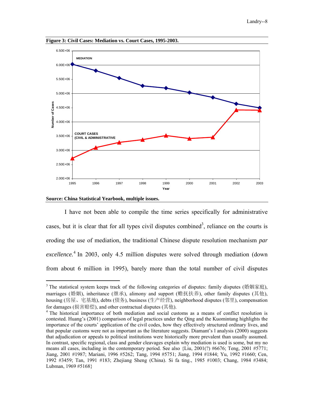

**Figure 3: Civil Cases: Mediation vs. Court Cases, 1995-2003.** 



1

I have not been able to compile the time series specifically for administrative cases, but it is clear that for all types civil disputes combined<sup>3</sup>, reliance on the courts is eroding the use of mediation, the traditional Chinese dispute resolution mechanism *par excellence.*<sup>4</sup> In 2003, only 4.5 million disputes were solved through mediation (down from about 6 million in 1995), barely more than the total number of civil disputes

<sup>&</sup>lt;sup>3</sup> The statistical system keeps track of the following categories of disputes: family disputes (婚姻家庭), marriages (婚姻), inheritance (继承), alimony and support (赡抚扶养), other family disputes (其他), housing (房屋、宅基地), debts (债务), business (生产经营), neighborhood disputes (邻里), compensation for damages (损害赔偿), and other contractual disputes (其他). 4

<sup>&</sup>lt;sup>4</sup> The historical importance of both mediation and social customs as a means of conflict resolution is contested. Huang's (2001) comparison of legal practices under the Qing and the Kuomintang highlights the importance of the courts' application of the civil codes, how they effectively structured ordinary lives, and that popular customs were not as important as the literature suggests. Diamant's l analysis (2000) suggests that adjudication or appeals to political institutions were historically more prevalent than usually assumed. In contrast, specific regional, class and gender cleavages explain why mediation is used is some, but my no means all cases, including in the contemporary period. See also {Liu, 2001(?) #6676; Teng, 2001 #5771; Jiang, 2001 #1987; Mariani, 1996 #5262; Tang, 1994 #5751; Jiang, 1994 #1844; Yu, 1992 #1660; Cen, 1992 #3459; Tan, 1991 #183; Zhejiang Sheng (China). Si fa ting., 1985 #1003; Chang, 1984 #3484; Lubman, 1969 #5168}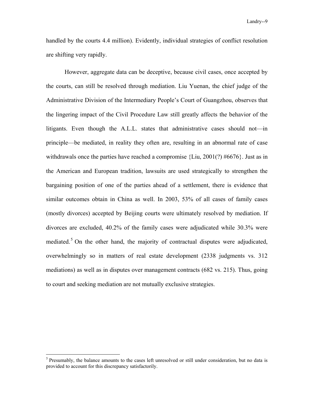handled by the courts 4.4 million). Evidently, individual strategies of conflict resolution are shifting very rapidly.

However, aggregate data can be deceptive, because civil cases, once accepted by the courts, can still be resolved through mediation. Liu Yuenan, the chief judge of the Administrative Division of the Intermediary People's Court of Guangzhou, observes that the lingering impact of the Civil Procedure Law still greatly affects the behavior of the litigants. Even though the A.L.L. states that administrative cases should not—in principle—be mediated, in reality they often are, resulting in an abnormal rate of case withdrawals once the parties have reached a compromise  $\{Liu, 2001(?) \#6676\}$ . Just as in the American and European tradition, lawsuits are used strategically to strengthen the bargaining position of one of the parties ahead of a settlement, there is evidence that similar outcomes obtain in China as well. In 2003, 53% of all cases of family cases (mostly divorces) accepted by Beijing courts were ultimately resolved by mediation. If divorces are excluded, 40.2% of the family cases were adjudicated while 30.3% were mediated.<sup>5</sup> On the other hand, the majority of contractual disputes were adjudicated, overwhelmingly so in matters of real estate development (2338 judgments vs. 312 mediations) as well as in disputes over management contracts (682 vs. 215). Thus, going to court and seeking mediation are not mutually exclusive strategies.

1

<sup>&</sup>lt;sup>5</sup> Presumably, the balance amounts to the cases left unresolved or still under consideration, but no data is provided to account for this discrepancy satisfactorily.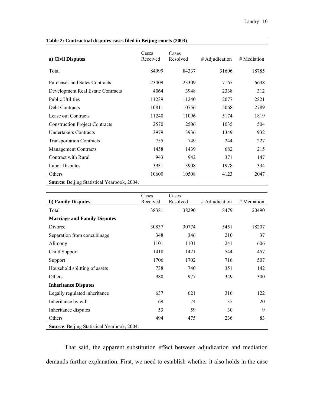| a) Civil Disputes                     | Cases<br>Received | Cases<br>Resolved | # Adjudication | # Mediation |
|---------------------------------------|-------------------|-------------------|----------------|-------------|
| Total                                 | 84999             | 84337             | 31606          | 18785       |
| Purchases and Sales Contracts         | 23409             | 23309             | 7167           | 6638        |
| Development Real Estate Contracts     | 4064              | 3948              | 2338           | 312         |
| <b>Public Utilities</b>               | 11239             | 11240             | 2077           | 2821        |
| <b>Debt Contracts</b>                 | 10811             | 10756             | 5068           | 2789        |
| Lease out Contracts                   | 11240             | 11096             | 5174           | 1819        |
| <b>Construction Project Contracts</b> | 2570              | 2506              | 1035           | 504         |
| <b>Undertakers Contracts</b>          | 3979              | 3936              | 1349           | 932         |
| <b>Transportation Contracts</b>       | 755               | 749               | 244            | 227         |
| <b>Management Contracts</b>           | 1458              | 1439              | 682            | 215         |
| Contract with Rural                   | 943               | 942               | 371            | 147         |
| Labor Disputes                        | 3931              | 3908              | 1978           | 334         |
| Others                                | 10600             | 10508             | 4123           | 2047        |

**Table 2: Contractual disputes cases filed in Beijing courts (2003)** 

**Source**: Beijing Statistical Yearbook, 2004.

|                                             | Cases    | Cases    |                |             |
|---------------------------------------------|----------|----------|----------------|-------------|
| b) Family Disputes                          | Received | Resolved | # Adjudication | # Mediation |
| Total                                       | 38381    | 38290    | 8479           | 20490       |
| <b>Marriage and Family Disputes</b>         |          |          |                |             |
| Divorce                                     | 30837    | 30774    | 5451           | 18207       |
| Separation from concubinage                 | 348      | 346      | 210            | 37          |
| Alimony                                     | 1101     | 1101     | 241            | 606         |
| Child Support                               | 1418     | 1421     | 544            | 457         |
| Support                                     | 1706     | 1702     | 716            | 507         |
| Household splitting of assets               | 738      | 740      | 351            | 142         |
| Others                                      | 980      | 977      | 349            | 300         |
| <b>Inheritance Disputes</b>                 |          |          |                |             |
| Legally regulated inheritance               | 637      | 621      | 316            | 122         |
| Inheritance by will                         | 69       | 74       | 35             | 20          |
| Inheritance disputes                        | 53       | 59       | 30             | 9           |
| Others                                      | 494      | 475      | 236            | 83          |
| Source: Beijing Statistical Yearbook, 2004. |          |          |                |             |

That said, the apparent substitution effect between adjudication and mediation demands further explanation. First, we need to establish whether it also holds in the case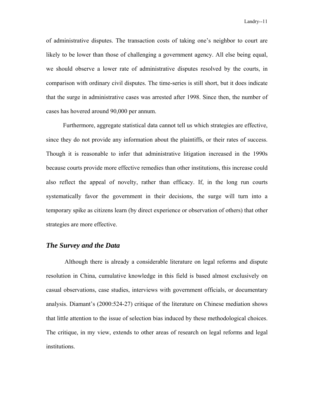of administrative disputes. The transaction costs of taking one's neighbor to court are likely to be lower than those of challenging a government agency. All else being equal, we should observe a lower rate of administrative disputes resolved by the courts, in comparison with ordinary civil disputes. The time-series is still short, but it does indicate that the surge in administrative cases was arrested after 1998. Since then, the number of cases has hovered around 90,000 per annum.

 Furthermore, aggregate statistical data cannot tell us which strategies are effective, since they do not provide any information about the plaintiffs, or their rates of success. Though it is reasonable to infer that administrative litigation increased in the 1990s because courts provide more effective remedies than other institutions, this increase could also reflect the appeal of novelty, rather than efficacy. If, in the long run courts systematically favor the government in their decisions, the surge will turn into a temporary spike as citizens learn (by direct experience or observation of others) that other strategies are more effective.

### *The Survey and the Data*

Although there is already a considerable literature on legal reforms and dispute resolution in China, cumulative knowledge in this field is based almost exclusively on casual observations, case studies, interviews with government officials, or documentary analysis. Diamant's (2000:524-27) critique of the literature on Chinese mediation shows that little attention to the issue of selection bias induced by these methodological choices. The critique, in my view, extends to other areas of research on legal reforms and legal institutions.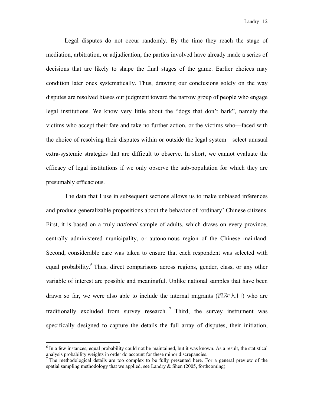Legal disputes do not occur randomly. By the time they reach the stage of mediation, arbitration, or adjudication, the parties involved have already made a series of decisions that are likely to shape the final stages of the game. Earlier choices may condition later ones systematically. Thus, drawing our conclusions solely on the way disputes are resolved biases our judgment toward the narrow group of people who engage legal institutions. We know very little about the "dogs that don't bark", namely the victims who accept their fate and take no further action, or the victims who—faced with the choice of resolving their disputes within or outside the legal system—select unusual extra-systemic strategies that are difficult to observe. In short, we cannot evaluate the efficacy of legal institutions if we only observe the sub-population for which they are presumably efficacious.

 The data that I use in subsequent sections allows us to make unbiased inferences and produce generalizable propositions about the behavior of 'ordinary' Chinese citizens. First, it is based on a truly *national* sample of adults, which draws on every province, centrally administered municipality, or autonomous region of the Chinese mainland. Second, considerable care was taken to ensure that each respondent was selected with equal probability.<sup>6</sup> Thus, direct comparisons across regions, gender, class, or any other variable of interest are possible and meaningful. Unlike national samples that have been drawn so far, we were also able to include the internal migrants (流动人口) who are traditionally excluded from survey research.<sup>7</sup> Third, the survey instrument was specifically designed to capture the details the full array of disputes, their initiation,

 $6$  In a few instances, equal probability could not be maintained, but it was known. As a result, the statistical analysis probability weights in order do account for these minor discrepancies.

 $<sup>7</sup>$  The methodological details are too complex to be fully presented here. For a general preview of the</sup> spatial sampling methodology that we applied, see Landry  $&$  Shen (2005, forthcoming).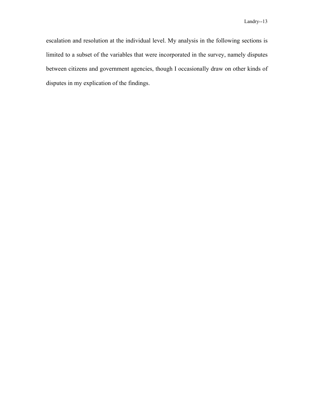escalation and resolution at the individual level. My analysis in the following sections is limited to a subset of the variables that were incorporated in the survey, namely disputes between citizens and government agencies, though I occasionally draw on other kinds of disputes in my explication of the findings.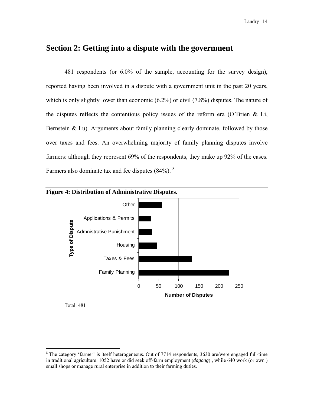## **Section 2: Getting into a dispute with the government**

481 respondents (or 6.0% of the sample, accounting for the survey design), reported having been involved in a dispute with a government unit in the past 20 years, which is only slightly lower than economic (6.2%) or civil (7.8%) disputes. The nature of the disputes reflects the contentious policy issues of the reform era (O'Brien & Li, Bernstein & Lu). Arguments about family planning clearly dominate, followed by those over taxes and fees. An overwhelming majority of family planning disputes involve farmers: although they represent 69% of the respondents, they make up 92% of the cases. Farmers also dominate tax and fee disputes  $(84\%)$ . <sup>8</sup>



 $8$  The category 'farmer' is itself heterogeneous. Out of 7714 respondents, 3630 are/were engaged full-time in traditional agriculture. 1052 have or did seek off-farm employment (*dagong*) , while 640 work (or own ) small shops or manage rural enterprise in addition to their farming duties.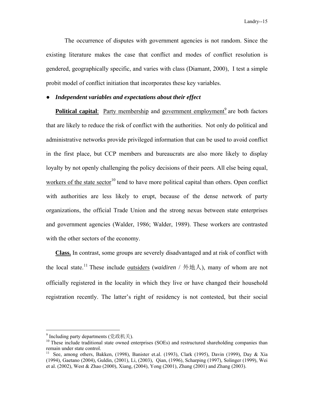The occurrence of disputes with government agencies is not random. Since the existing literature makes the case that conflict and modes of conflict resolution is gendered, geographically specific, and varies with class (Diamant, 2000), I test a simple probit model of conflict initiation that incorporates these key variables.

### ● *Independent variables and expectations about their effect*

**Political capital**: Party membership and government employment<sup>9</sup> are both factors that are likely to reduce the risk of conflict with the authorities. Not only do political and administrative networks provide privileged information that can be used to avoid conflict in the first place, but CCP members and bureaucrats are also more likely to display loyalty by not openly challenging the policy decisions of their peers. All else being equal, workers of the state sector<sup>10</sup> tend to have more political capital than others. Open conflict with authorities are less likely to erupt, because of the dense network of party organizations, the official Trade Union and the strong nexus between state enterprises and government agencies (Walder, 1986; Walder, 1989). These workers are contrasted with the other sectors of the economy.

**Class.** In contrast, some groups are severely disadvantaged and at risk of conflict with the local state.<sup>11</sup> These include <u>outsiders</u> (*waidiren* / 外地人), many of whom are not officially registered in the locality in which they live or have changed their household registration recently. The latter's right of residency is not contested, but their social

<sup>&</sup>lt;sup>9</sup> Including party departments (党政机关).

 $10$  These include traditional state owned enterprises (SOEs) and restructured shareholding companies than remain under state control.

<sup>&</sup>lt;sup>11</sup> See, among others, Bakken, (1998), Banister et.al. (1993), Clark (1995), Davin (1999), Day & Xia (1994), Gaetano (2004), Guldin, (2001), Li, (2003), Qian, (1996), Scharping (1997), Solinger (1999), Wei et al. (2002), West & Zhao (2000), Xiang, (2004), Yong (2001), Zhang (2001) and Zhang (2003).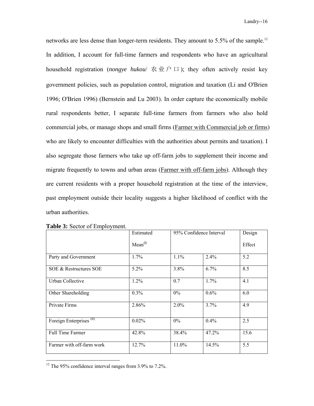networks are less dense than longer-term residents. They amount to 5.5% of the sample.<sup>12</sup> In addition, I account for full-time farmers and respondents who have an agricultural household registration (*nongye hukou*/ 农业户口); they often actively resist key government policies, such as population control, migration and taxation (Li and O'Brien 1996; O'Brien 1996) (Bernstein and Lu 2003). In order capture the economically mobile rural respondents better, I separate full-time farmers from farmers who also hold commercial jobs, or manage shops and small firms (Farmer with Commercial job or firms) who are likely to encounter difficulties with the authorities about permits and taxation). I also segregate those farmers who take up off-farm jobs to supplement their income and migrate frequently to towns and urban areas (Farmer with off-farm jobs). Although they are current residents with a proper household registration at the time of the interview, past employment outside their locality suggests a higher likelihood of conflict with the urban authorities.

|                                     | Estimated           |          | 95% Confidence Interval | Design |
|-------------------------------------|---------------------|----------|-------------------------|--------|
|                                     | Mean <sup>(I)</sup> |          |                         | Effect |
| Party and Government                | $1.7\%$             | $1.1\%$  | 2.4%                    | 5.2    |
| SOE & Restructures SOE              | $5.2\%$             | 3.8%     | 6.7%                    | 8.5    |
| Urban Collective                    | 1.2%                | 0.7      | 1.7%                    | 4.1    |
| Other Shareholding                  | 0.3%                | $0\%$    | 0.6%                    | 6.0    |
| Private Firms                       | 2.86%               | $2.0\%$  | 3.7%                    | 4.9    |
| Foreign Enterprises <sup>(II)</sup> | 0.02%               | $0\%$    | 0.4%                    | 2.5    |
| <b>Full Time Farmer</b>             | 42.8%               | 38.4%    | 47.2%                   | 15.6   |
| Farmer with off-farm work           | 12.7%               | $11.0\%$ | 14.5%                   | 5.5    |

| <b>Table 3: Sector of Employment.</b> |  |  |  |
|---------------------------------------|--|--|--|
|---------------------------------------|--|--|--|

 $12$  The 95% confidence interval ranges from 3.9% to 7.2%.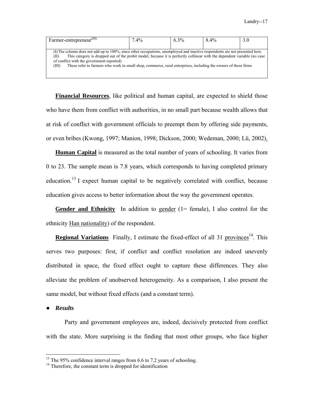| Farmer-entrepreneur <sup>(III)</sup>                                                                                                                                                                                                                                                                                                                                                                                              | $7.4\%$ | $6.3\%$ | 8.4% | 3.0 |
|-----------------------------------------------------------------------------------------------------------------------------------------------------------------------------------------------------------------------------------------------------------------------------------------------------------------------------------------------------------------------------------------------------------------------------------|---------|---------|------|-----|
| (I) The column does not add up to 100%, since other occupations, unemployed and inactive respondents are not presented here.<br>This category is dropped out of the probit model, because it is perfectly collinear with the dependent variable (no case<br>of conflict with the government reported)<br>These refer to farmers who work in small shop, commerce, rural enterprises, including the owners of these firms<br>(III) |         |         |      |     |

**Financial Resources**, like political and human capital, are expected to shield those who have them from conflict with authorities, in no small part because wealth allows that at risk of conflict with government officials to preempt them by offering side payments, or even bribes (Kwong, 1997; Manion, 1998; Dickson, 2000; Wedeman, 2000; Lü, 2002).

**Human Capital** is measured as the total number of years of schooling. It varies from 0 to 23. The sample mean is 7.8 years, which corresponds to having completed primary education.<sup>13</sup> I expect human capital to be negatively correlated with conflict, because education gives access to better information about the way the government operates.

Gender and Ethnicity In addition to gender (1= female), I also control for the ethnicity Han nationality) of the respondent.

**Regional Variations** Finally, I estimate the fixed-effect of all 31 provinces<sup>14</sup>. This serves two purposes: first, if conflict and conflict resolution are indeed unevenly distributed in space, the fixed effect ought to capture these differences. They also alleviate the problem of unobserved heterogeneity. As a comparison, I also present the same model, but without fixed effects (and a constant term).

● *Results*

1

Party and government employees are, indeed, decisively protected from conflict with the state. More surprising is the finding that most other groups, who face higher

 $13$  The 95% confidence interval ranges from 6.6 to 7.2 years of schooling.

<sup>&</sup>lt;sup>14</sup> Therefore, the constant term is dropped for identification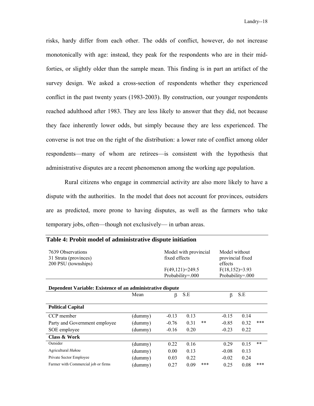risks, hardy differ from each other. The odds of conflict, however, do not increase monotonically with age: instead, they peak for the respondents who are in their midforties, or slightly older than the sample mean. This finding is in part an artifact of the survey design. We asked a cross-section of respondents whether they experienced conflict in the past twenty years (1983-2003). By construction, our younger respondents reached adulthood after 1983. They are less likely to answer that they did, not because they face inherently lower odds, but simply because they are less experienced. The converse is not true on the right of the distribution: a lower rate of conflict among older respondents—many of whom are retirees—is consistent with the hypothesis that administrative disputes are a recent phenomenon among the working age population.

Rural citizens who engage in commercial activity are also more likely to have a dispute with the authorities. In the model that does not account for provinces, outsiders are as predicted, more prone to having disputes, as well as the farmers who take temporary jobs, often—though not exclusively— in urban areas.

| 7639 Observations<br>31 Strata (provinces)<br>200 PSU (townships) |         | Model with provincial<br>fixed effects<br>$F(49,121)=249.5$<br>Probability=.000 |      | Model without<br>provincial fixed<br>effects<br>$F(18, 152)=3.93$<br>Probability=.000 |         |      |       |  |  |
|-------------------------------------------------------------------|---------|---------------------------------------------------------------------------------|------|---------------------------------------------------------------------------------------|---------|------|-------|--|--|
| Dependent Variable: Existence of an administrative dispute        |         |                                                                                 |      |                                                                                       |         |      |       |  |  |
|                                                                   | Mean    | β                                                                               | S.E  |                                                                                       | $\beta$ | S.E  |       |  |  |
| <b>Political Capital</b>                                          |         |                                                                                 |      |                                                                                       |         |      |       |  |  |
| CCP member                                                        | (dummy) | $-0.13$                                                                         | 0.13 |                                                                                       | $-0.15$ | 0.14 |       |  |  |
| Party and Government employee                                     | (dummy) | $-0.76$                                                                         | 0.31 | $***$                                                                                 | $-0.85$ | 0.32 | $***$ |  |  |
| SOE employee                                                      | (dummy) | $-0.16$                                                                         | 0.20 |                                                                                       | $-0.23$ | 0.22 |       |  |  |
| Class & Work                                                      |         |                                                                                 |      |                                                                                       |         |      |       |  |  |
| Outsider                                                          | (dummy) | 0.22                                                                            | 0.16 |                                                                                       | 0.29    | 0.15 | $**$  |  |  |
| Agricultural Hukou                                                | (dummy) | 0.00                                                                            | 0.13 |                                                                                       | $-0.08$ | 0.13 |       |  |  |
| Private Sector Employee                                           | (dummy) | 0.03                                                                            | 0.22 |                                                                                       | $-0.02$ | 0.24 |       |  |  |
| Farmer with Commercial job or firms                               | (dummy) | 0.27                                                                            | 0.09 | ***                                                                                   | 0.25    | 0.08 | ***   |  |  |

### **Table 4: Probit model of administrative dispute initiation**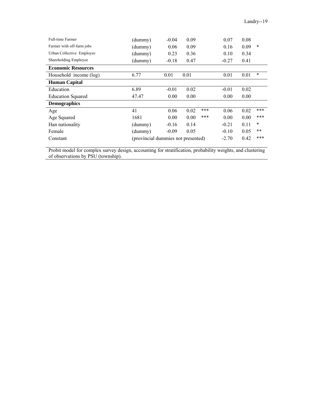| <b>Full-time Farmer</b>   | (dummy)                            | $-0.04$ | 0.09 |     | 0.07    | 0.08 |        |
|---------------------------|------------------------------------|---------|------|-----|---------|------|--------|
| Farmer with off-farm jobs | (dummy)                            | 0.06    | 0.09 |     | 0.16    | 0.09 | $\ast$ |
| Urban Collective Employee | (dummy)                            | 0.23    | 0.36 |     | 0.10    | 0.34 |        |
| Shareholding Employee     | (dummy)                            | $-0.18$ | 0.47 |     | $-0.27$ | 0.41 |        |
| <b>Economic Resources</b> |                                    |         |      |     |         |      |        |
| Household income (log)    | 6.77                               | 0.01    | 0.01 |     | 0.01    | 0.01 | $\ast$ |
| <b>Human Capital</b>      |                                    |         |      |     |         |      |        |
| Education                 | 6.89                               | $-0.01$ | 0.02 |     | $-0.01$ | 0.02 |        |
| <b>Education Squared</b>  | 47.47                              | 0.00    | 0.00 |     | 0.00    | 0.00 |        |
| <b>Demographics</b>       |                                    |         |      |     |         |      |        |
| Age                       | 41                                 | 0.06    | 0.02 | *** | 0.06    | 0.02 | $***$  |
| Age Squared               | 1681                               | 0.00    | 0.00 | *** | 0.00    | 0.00 | ***    |
| Han nationality           | (dummy)                            | $-0.16$ | 0.14 |     | $-0.21$ | 0.11 | $\ast$ |
| Female                    | (dummy)                            | $-0.09$ | 0.05 |     | $-0.10$ | 0.05 | $***$  |
| Constant                  | (provincial dummies not presented) |         |      |     | $-2.70$ | 0.42 | ***    |

Probit model for complex survey design, accounting for stratification, probability weights, and clustering of observations by PSU (township).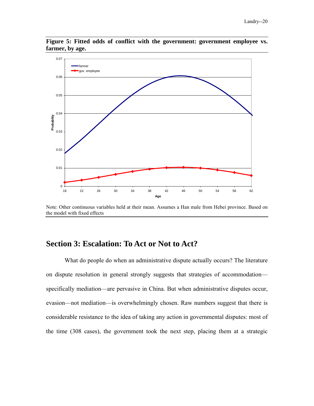

**Figure 5: Fitted odds of conflict with the government: government employee vs. farmer, by age.** 

Note: Other continuous variables held at their mean. Assumes a Han male from Hebei province. Based on the model with fixed effects

## **Section 3: Escalation: To Act or Not to Act?**

What do people do when an administrative dispute actually occurs? The literature on dispute resolution in general strongly suggests that strategies of accommodation specifically mediation—are pervasive in China. But when administrative disputes occur, evasion—not mediation—is overwhelmingly chosen. Raw numbers suggest that there is considerable resistance to the idea of taking any action in governmental disputes: most of the time (308 cases), the government took the next step, placing them at a strategic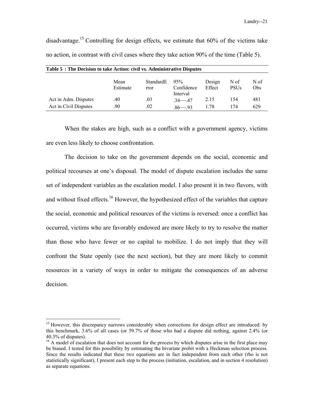Landry--21

disadvantage.<sup>15</sup> Controlling for design effects, we estimate that  $60\%$  of the victims take no action, in contrast with civil cases where they take action 90% of the time (Table 5).

| Table 5: The Decision to take Action: civil vs. Administrative Disputes |                  |                   |                               |                  |                     |             |  |  |  |
|-------------------------------------------------------------------------|------------------|-------------------|-------------------------------|------------------|---------------------|-------------|--|--|--|
|                                                                         | Mean<br>Estimate | StandardE<br>rror | 95%<br>Confidence<br>Interval | Design<br>Effect | N of<br><b>PSUs</b> | N of<br>Obs |  |  |  |
| Act in Adm. Disputes                                                    | .40              | .03               | $34 - 47$                     | 2.15             | 154                 | 481         |  |  |  |
| Act in Civil Disputes                                                   | .90              | .02               | $86 - 93$                     | 1.78             | 174                 | 629         |  |  |  |

When the stakes are high, such as a conflict with a government agency, victims are even less likely to choose confrontation.

The decision to take on the government depends on the social, economic and political recourses at one's disposal. The model of dispute escalation includes the same set of independent variables as the escalation model. I also present it in two flavors, with and without fixed effects.<sup>16</sup> However, the hypothesized effect of the variables that capture the social, economic and political resources of the victims is reversed: once a conflict has occurred, victims who are favorably endowed are more likely to try to resolve the matter than those who have fewer or no capital to mobilize. I do not imply that they will confront the State openly (see the next section), but they are more likely to commit resources in a variety of ways in order to mitigate the consequences of an adverse decision.

<sup>&</sup>lt;sup>15</sup> However, this discrepancy narrows considerably when corrections for design effect are introduced: by this benchmark, 3.6% of all cases (or 59.7% of those who had a dispute did nothing, against 2.4% (or 40.3% of disputes).

<sup>&</sup>lt;sup>16</sup> A model of escalation that does not account for the process by which disputes arise in the first place may be biased. I tested for this possibility by estimating the bivariate probit with a Heckman selection process. Since the results indicated that these two equations are in fact independent from each other (rho is not statistically significant), I present each step to the process (initiation, escalation, and in section 4 resolution) as separate equations.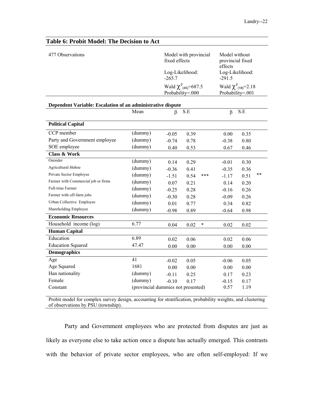| Table 6: Probit Model: The Decision to Act                  |                                    |         |                                                           |                     |                                                      |       |
|-------------------------------------------------------------|------------------------------------|---------|-----------------------------------------------------------|---------------------|------------------------------------------------------|-------|
| 477 Observations                                            |                                    |         | Model with provincial<br>fixed effects<br>Log-Likelihood: | effects<br>$-291.5$ | Model without<br>provincial fixed<br>Log-Likelihood: |       |
|                                                             |                                    |         | Wald $\chi^2_{(45)} = 687.5$<br>Probability=.000          |                     | Wald $\chi^2_{(18)}=2.18$<br>Probability=.001        |       |
| Dependent Variable: Escalation of an administrative dispute |                                    |         |                                                           |                     |                                                      |       |
|                                                             | Mean                               | $\beta$ | S.E                                                       | $\beta$             | S.E                                                  |       |
| <b>Political Capital</b>                                    |                                    |         |                                                           |                     |                                                      |       |
| CCP member                                                  | (dummy)                            | $-0.05$ | 0.39                                                      | 0.00                | 0.35                                                 |       |
| Party and Government employee                               | (dummy)                            | $-0.74$ | 0.78                                                      | $-0.38$             | 0.80                                                 |       |
| SOE employee                                                | (dummy)                            | 0.40    | 0.53                                                      | 0.67                | 0.46                                                 |       |
| <b>Class &amp; Work</b>                                     |                                    |         |                                                           |                     |                                                      |       |
| Outsider                                                    | (dummy)                            | 0.14    | 0.29                                                      | $-0.01$             | 0.30                                                 |       |
| Agricultural Hukou                                          | (dummy)                            | $-0.36$ | 0.41                                                      | $-0.35$             | 0.36                                                 |       |
| Private Sector Employee                                     | (dummy)                            | $-1.51$ | 0.54<br>***                                               | $-1.17$             | 0.51                                                 | $***$ |
| Farmer with Commercial job or firms                         | (dummy)                            | 0.07    | 0.21                                                      | 0.14                | 0.20                                                 |       |
| Full-time Farmer                                            | (dummy)                            | $-0.25$ | 0.28                                                      | $-0.16$             | 0.26                                                 |       |
| Farmer with off-farm jobs                                   | (dummy)                            | $-0.30$ | 0.28                                                      | $-0.09$             | 0.26                                                 |       |
| Urban Collective Employee                                   | (dummy)                            | 0.01    | 0.77                                                      | 0.34                | 0.82                                                 |       |
| Shareholding Employee                                       | (dummy)                            | $-0.98$ | 0.89                                                      | $-0.64$             | 0.98                                                 |       |
| <b>Economic Resources</b>                                   |                                    |         |                                                           |                     |                                                      |       |
| Household income (log)                                      | 6.77                               | 0.04    | $\ast$<br>0.02                                            | 0.02                | 0.02                                                 |       |
| <b>Human Capital</b>                                        |                                    |         |                                                           |                     |                                                      |       |
| Education                                                   | 6.89                               | 0.02    | 0.06                                                      | 0.02                | 0.06                                                 |       |
| <b>Education Squared</b>                                    | 47.47                              | 0.00    | 0.00                                                      | 0.00                | 0.00                                                 |       |
| <b>Demographics</b>                                         |                                    |         |                                                           |                     |                                                      |       |
| Age                                                         | 41                                 | $-0.02$ | 0.05                                                      | $-0.06$             | 0.05                                                 |       |
| Age Squared                                                 | 1681                               | 0.00    | 0.00                                                      | 0.00                | 0.00                                                 |       |
| Han nationality                                             | (dummy)                            | $-0.11$ | 0.25                                                      | 0.17                | 0.23                                                 |       |
| Female                                                      | (dummy)                            | $-0.10$ | 0.17                                                      | $-0.15$             | 0.17                                                 |       |
| Constant                                                    | (provincial dummies not presented) |         |                                                           | 0.57                | 1.19                                                 |       |
|                                                             |                                    |         |                                                           |                     |                                                      |       |

Probit model for complex survey design, accounting for stratification, probability weights, and clustering of observations by PSU (township).

Party and Government employees who are protected from disputes are just as likely as everyone else to take action once a dispute has actually emerged. This contrasts with the behavior of private sector employees, who are often self-employed: If we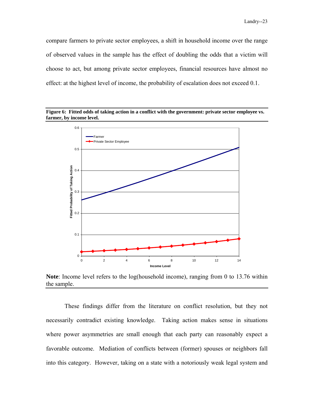compare farmers to private sector employees, a shift in household income over the range of observed values in the sample has the effect of doubling the odds that a victim will choose to act, but among private sector employees, financial resources have almost no effect: at the highest level of income, the probability of escalation does not exceed 0.1.





**Note**: Income level refers to the log(household income), ranging from 0 to 13.76 within the sample.

These findings differ from the literature on conflict resolution, but they not necessarily contradict existing knowledge. Taking action makes sense in situations where power asymmetries are small enough that each party can reasonably expect a favorable outcome. Mediation of conflicts between (former) spouses or neighbors fall into this category. However, taking on a state with a notoriously weak legal system and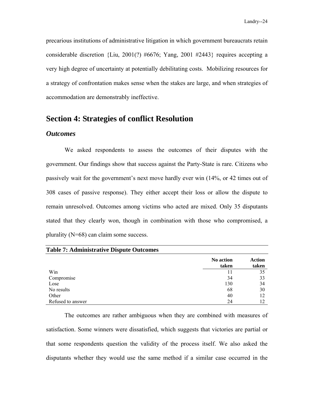precarious institutions of administrative litigation in which government bureaucrats retain considerable discretion {Liu, 2001(?) #6676; Yang, 2001 #2443} requires accepting a very high degree of uncertainty at potentially debilitating costs. Mobilizing resources for a strategy of confrontation makes sense when the stakes are large, and when strategies of accommodation are demonstrably ineffective.

## **Section 4: Strategies of conflict Resolution**

### *Outcomes*

 We asked respondents to assess the outcomes of their disputes with the government. Our findings show that success against the Party-State is rare. Citizens who passively wait for the government's next move hardly ever win (14%, or 42 times out of 308 cases of passive response). They either accept their loss or allow the dispute to remain unresolved. Outcomes among victims who acted are mixed. Only 35 disputants stated that they clearly won, though in combination with those who compromised, a plurality (N=68) can claim some success.

| <b>Table 7: Administrative Dispute Outcomes</b> |                    |                 |
|-------------------------------------------------|--------------------|-----------------|
|                                                 | No action<br>taken | Action<br>taken |
| Win                                             | 11                 | 35              |
| Compromise                                      | 34                 | 33              |
| Lose                                            | 130                | 34              |
| No results                                      | 68                 | 30              |
| Other                                           | 40                 | 12              |
| Refused to answer                               | 24                 |                 |

The outcomes are rather ambiguous when they are combined with measures of satisfaction. Some winners were dissatisfied, which suggests that victories are partial or that some respondents question the validity of the process itself. We also asked the disputants whether they would use the same method if a similar case occurred in the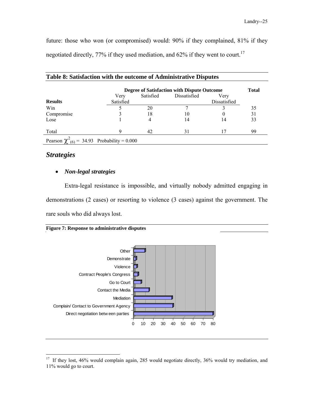future: those who won (or compromised) would: 90% if they complained, 81% if they negotiated directly, 77% if they used mediation, and 62% if they went to court.<sup>17</sup>

|                                                    | Degree of Satisfaction with Dispute Outcome |           |              |              |    |
|----------------------------------------------------|---------------------------------------------|-----------|--------------|--------------|----|
|                                                    | Very                                        | Satisfied | Dissatisfied | Verv         |    |
| <b>Results</b>                                     | Satisfied                                   |           |              | Dissatisfied |    |
| Win                                                |                                             | 20        |              |              | 35 |
| Compromise                                         |                                             | 18        | 10           | O            | 31 |
| Lose                                               |                                             |           | 14           | 14           | 33 |
| Total                                              |                                             | 42        | 31           | 17           | 99 |
| Pearson $\chi^2_{(6)} = 34.93$ Probability = 0.000 |                                             |           |              |              |    |

|  | Table 8: Satisfaction with the outcome of Administrative Disputes |
|--|-------------------------------------------------------------------|
|  |                                                                   |

## *Strategies*

 $\overline{a}$ 

### • *Non-legal strategies*

Extra-legal resistance is impossible, and virtually nobody admitted engaging in demonstrations (2 cases) or resorting to violence (3 cases) against the government. The rare souls who did always lost.

| <b>Figure 7: Response to administrative disputes</b> |  |  |  |
|------------------------------------------------------|--|--|--|
|------------------------------------------------------|--|--|--|



<sup>&</sup>lt;sup>17</sup> If they lost, 46% would complain again, 285 would negotiate directly, 36% would try mediation, and 11% would go to court.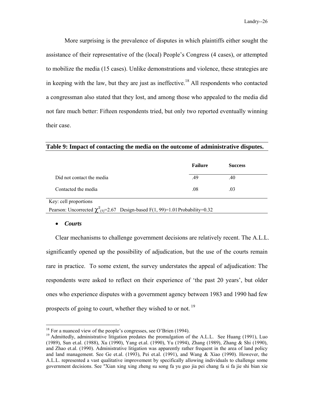More surprising is the prevalence of disputes in which plaintiffs either sought the assistance of their representative of the (local) People's Congress (4 cases), or attempted to mobilize the media (15 cases). Unlike demonstrations and violence, these strategies are in keeping with the law, but they are just as ineffective.<sup>18</sup> All respondents who contacted a congressman also stated that they lost, and among those who appealed to the media did not fare much better: Fifteen respondents tried, but only two reported eventually winning their case.

### **Table 9: Impact of contacting the media on the outcome of administrative disputes.**

|                                                                                       |  | <b>Failure</b> | <b>Success</b> |  |  |
|---------------------------------------------------------------------------------------|--|----------------|----------------|--|--|
| Did not contact the media                                                             |  | .49            | .40            |  |  |
| Contacted the media                                                                   |  | .08            | .03            |  |  |
| Key: cell proportions                                                                 |  |                |                |  |  |
| Pearson: Uncorrected $\chi^2_{(1)}$ =2.67 Design-based F(1, 99)=1.01 Probability=0.32 |  |                |                |  |  |

### • *Courts*

 $\overline{a}$ 

Clear mechanisms to challenge government decisions are relatively recent. The A.L.L. significantly opened up the possibility of adjudication, but the use of the courts remain rare in practice. To some extent, the survey understates the appeal of adjudication: The respondents were asked to reflect on their experience of 'the past 20 years', but older ones who experience disputes with a government agency between 1983 and 1990 had few prospects of going to court, whether they wished to or not.<sup>19</sup>

 $18$  For a nuanced view of the people's congresses, see O'Brien (1994).

<sup>&</sup>lt;sup>19</sup> Admittedly, administrative litigation predates the promulgation of the A.L.L. See Huang (1991), Luo (1989), Sun et.al. (1988), Xu (1990), Yang et.al. (1990), Yu (1994), Zhang (1989), Zhang & Shi (1990), and Zhao et.al. (1990). Administrative litigation was apparently rather frequent in the area of land policy and land management. See Ge et.al. (1993), Pei et.al. (1991), and Wang & Xiao (1990). However, the A.L.L. represented a vast qualitative improvement by specifically allowing individuals to challenge some government decisions. See "Xian xing xing zheng su song fa yu guo jia pei chang fa si fa jie shi bian xie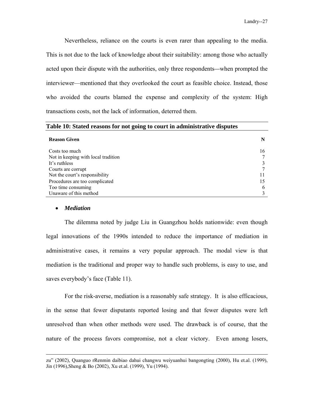Nevertheless, reliance on the courts is even rarer than appealing to the media. This is not due to the lack of knowledge about their suitability: among those who actually acted upon their dispute with the authorities, only three respondents*—*when prompted the interviewer—mentioned that they overlooked the court as feasible choice. Instead, those who avoided the courts blamed the expense and complexity of the system: High transactions costs, not the lack of information, deterred them.

| Table 10: Stated reasons for not going to court in administrative disputes |    |  |  |  |
|----------------------------------------------------------------------------|----|--|--|--|
| <b>Reason Given</b>                                                        | N  |  |  |  |
| Costs too much                                                             | 16 |  |  |  |
| Not in keeping with local tradition                                        |    |  |  |  |
| It's ruthless                                                              |    |  |  |  |
| Courts are corrupt                                                         |    |  |  |  |
| Not the court's responsibility                                             |    |  |  |  |
| Procedures are too complicated                                             | 15 |  |  |  |
| Too time consuming                                                         | 6  |  |  |  |
| Unaware of this method                                                     |    |  |  |  |

### • *Mediation*

The dilemma noted by judge Liu in Guangzhou holds nationwide: even though legal innovations of the 1990s intended to reduce the importance of mediation in administrative cases, it remains a very popular approach. The modal view is that mediation is the traditional and proper way to handle such problems, is easy to use, and saves everybody's face (Table 11).

For the risk-averse, mediation is a reasonably safe strategy. It is also efficacious, in the sense that fewer disputants reported losing and that fewer disputes were left unresolved than when other methods were used. The drawback is of course, that the nature of the process favors compromise, not a clear victory. Even among losers,

zu" (2002), Quanguo rRenmin daibiao dahui changwu weiyuanhui bangongting (2000), Hu et.al. (1999), Jin (1996),Sheng & Bo (2002), Xu et.al. (1999), Yu (1994).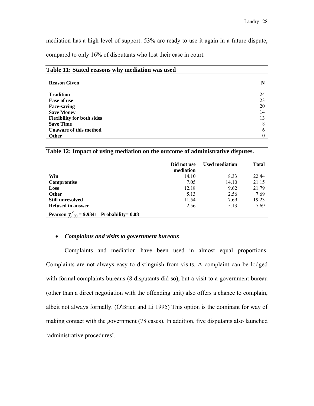mediation has a high level of support: 53% are ready to use it again in a future dispute, compared to only 16% of disputants who lost their case in court.

| Table 11: Stated reasons why mediation was used |    |  |  |  |
|-------------------------------------------------|----|--|--|--|
| <b>Reason Given</b>                             | N  |  |  |  |
| <b>Tradition</b>                                | 24 |  |  |  |
| Ease of use                                     | 23 |  |  |  |
| <b>Face-saving</b>                              | 20 |  |  |  |
| <b>Save Money</b>                               | 14 |  |  |  |
| <b>Flexibility for both sides</b>               | 13 |  |  |  |
| <b>Save Time</b>                                | 8  |  |  |  |
| Unaware of this method                          | 6  |  |  |  |
| <b>Other</b>                                    | 10 |  |  |  |

**Table 12: Impact of using mediation on the outcome of administrative disputes.** 

|                                                   | Did not use<br>mediation | <b>Used mediation</b> | <b>Total</b> |
|---------------------------------------------------|--------------------------|-----------------------|--------------|
| Win                                               | 14.10                    | 8.33                  | 22.44        |
| Compromise                                        | 7.05                     | 14.10                 | 21.15        |
| Lose                                              | 12.18                    | 9.62                  | 21.79        |
| <b>Other</b>                                      | 5.13                     | 2.56                  | 7.69         |
| <b>Still unresolved</b>                           | 11.54                    | 7.69                  | 19.23        |
| <b>Refused to answer</b>                          | 2.56                     | 5.13                  | 7.69         |
| Pearson $\chi^2_{(5)} = 9.9341$ Probability= 0.08 |                          |                       |              |

### • *Complaints and visits to government bureaus*

Complaints and mediation have been used in almost equal proportions. Complaints are not always easy to distinguish from visits. A complaint can be lodged with formal complaints bureaus (8 disputants did so), but a visit to a government bureau (other than a direct negotiation with the offending unit) also offers a chance to complain, albeit not always formally. (O'Brien and Li 1995) This option is the dominant for way of making contact with the government (78 cases). In addition, five disputants also launched 'administrative procedures'.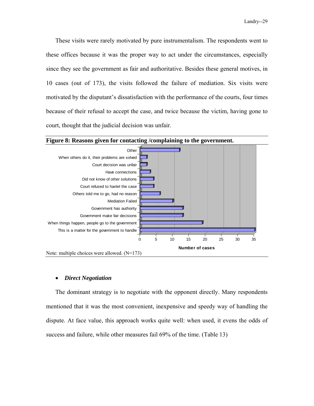These visits were rarely motivated by pure instrumentalism. The respondents went to these offices because it was the proper way to act under the circumstances, especially since they see the government as fair and authoritative. Besides these general motives, in 10 cases (out of 173), the visits followed the failure of mediation. Six visits were motivated by the disputant's dissatisfaction with the performance of the courts, four times because of their refusal to accept the case, and twice because the victim, having gone to court, thought that the judicial decision was unfair.



### • *Direct Negotiation*

The dominant strategy is to negotiate with the opponent directly. Many respondents mentioned that it was the most convenient, inexpensive and speedy way of handling the dispute. At face value, this approach works quite well: when used, it evens the odds of success and failure, while other measures fail 69% of the time. (Table 13)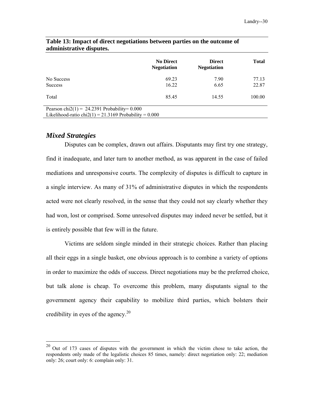|                                                                                                              | <b>No Direct</b><br><b>Negotiation</b> | <b>Direct</b><br><b>Negotiation</b> | <b>Total</b>   |
|--------------------------------------------------------------------------------------------------------------|----------------------------------------|-------------------------------------|----------------|
| No Success<br><b>Success</b>                                                                                 | 69.23<br>16.22                         | 7.90<br>6.65                        | 77.13<br>22.87 |
| Total                                                                                                        | 85.45                                  | 14.55                               | 100.00         |
| Pearson chi $2(1) = 24.2391$ Probability= 0.000<br>Likelihood-ratio chi $2(1) = 21.3169$ Probability = 0.000 |                                        |                                     |                |

### **Table 13: Impact of direct negotiations between parties on the outcome of administrative disputes.**

### *Mixed Strategies*

 $\overline{a}$ 

Disputes can be complex, drawn out affairs. Disputants may first try one strategy, find it inadequate, and later turn to another method, as was apparent in the case of failed mediations and unresponsive courts. The complexity of disputes is difficult to capture in a single interview. As many of 31% of administrative disputes in which the respondents acted were not clearly resolved, in the sense that they could not say clearly whether they had won, lost or comprised. Some unresolved disputes may indeed never be settled, but it is entirely possible that few will in the future.

Victims are seldom single minded in their strategic choices. Rather than placing all their eggs in a single basket, one obvious approach is to combine a variety of options in order to maximize the odds of success. Direct negotiations may be the preferred choice, but talk alone is cheap. To overcome this problem, many disputants signal to the government agency their capability to mobilize third parties, which bolsters their credibility in eyes of the agency.<sup>20</sup>

 $20$  Out of 173 cases of disputes with the government in which the victim chose to take action, the respondents only made of the legalistic choices 85 times, namely: direct negotiation only: 22; mediation only: 26; court only: 6: complain only: 31.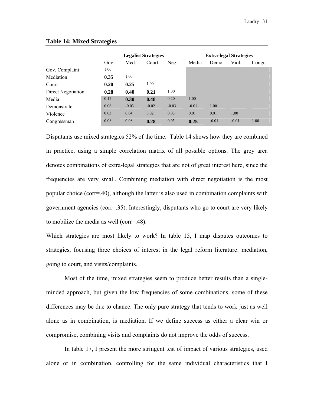|                    | <b>Legalist Strategies</b> |         |         |         | <b>Extra-legal Strategies</b> |         |         |        |
|--------------------|----------------------------|---------|---------|---------|-------------------------------|---------|---------|--------|
|                    | Gov.                       | Med.    | Court   | Neg.    | Media                         | Demo.   | Viol.   | Congr. |
| Gov. Complaint     | 1.00                       |         |         |         |                               |         |         |        |
| Mediation          | 0.35                       | 1.00    |         |         |                               |         |         |        |
| Court              | 0.20                       | 0.25    | 1.00    |         |                               |         |         |        |
| Direct Negotiation | 0.28                       | 0.40    | 0.21    | 1.00    |                               |         |         |        |
| Media              | 0.17                       | 0.30    | 0.48    | 0.20    | 1.00                          |         |         |        |
| Demonstrate        | 0.06                       | $-0.03$ | $-0.02$ | $-0.03$ | $-0.01$                       | 1.00    |         |        |
| Violence           | 0.03                       | 0.04    | 0.02    | 0.03    | 0.01                          | 0.01    | 1.00    |        |
| Congressman        | 0.08                       | 0.08    | 0.28    | 0.03    | 0.25                          | $-0.01$ | $-0.01$ | 1.00   |

### **Table 14: Mixed Strategies**

Disputants use mixed strategies 52% of the time. Table 14 shows how they are combined in practice, using a simple correlation matrix of all possible options. The grey area denotes combinations of extra-legal strategies that are not of great interest here, since the frequencies are very small. Combining mediation with direct negotiation is the most popular choice (corr=.40), although the latter is also used in combination complaints with government agencies (corr=.35). Interestingly, disputants who go to court are very likely to mobilize the media as well (corr=.48).

Which strategies are most likely to work? In table 15, I map disputes outcomes to strategies, focusing three choices of interest in the legal reform literature: mediation, going to court, and visits/complaints.

Most of the time, mixed strategies seem to produce better results than a singleminded approach, but given the low frequencies of some combinations, some of these differences may be due to chance. The only pure strategy that tends to work just as well alone as in combination, is mediation. If we define success as either a clear win or compromise, combining visits and complaints do not improve the odds of success.

In table 17, I present the more stringent test of impact of various strategies, used alone or in combination, controlling for the same individual characteristics that I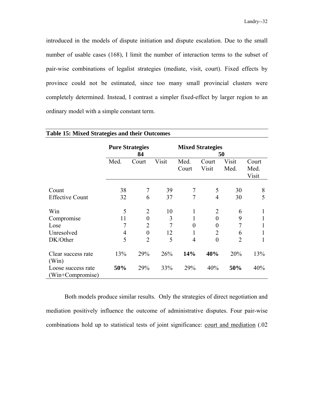introduced in the models of dispute initiation and dispute escalation. Due to the small number of usable cases (168), I limit the number of interaction terms to the subset of pair-wise combinations of legalist strategies (mediate, visit, court). Fixed effects by province could not be estimated, since too many small provincial clusters were completely determined. Instead, I contrast a simpler fixed-effect by larger region to an ordinary model with a simple constant term.

| <b>Table 15: Mixed Strategies and their Outcomes</b> |      |                              |       |                |                         |                |                        |
|------------------------------------------------------|------|------------------------------|-------|----------------|-------------------------|----------------|------------------------|
|                                                      |      | <b>Pure Strategies</b><br>84 |       |                | <b>Mixed Strategies</b> | 50             |                        |
|                                                      | Med. | Court                        | Visit | Med.<br>Court  | Court<br>Visit          | Visit<br>Med.  | Court<br>Med.<br>Visit |
| Count                                                | 38   | 7                            | 39    | 7              | 5                       | 30             | 8                      |
| <b>Effective Count</b>                               | 32   | 6                            | 37    | $\tau$         | $\overline{4}$          | 30             | 5                      |
| Win                                                  | 5    | 2                            | 10    | 1              | 2                       | 6              | $\mathbf{I}$           |
| Compromise                                           | 11   | $\overline{0}$               | 3     | 1              | $\theta$                | 9              | 1                      |
| Lose                                                 | 7    | $\overline{2}$               | 7     | 0              | $\theta$                | 7              | 1                      |
| Unresolved                                           | 4    | $\overline{0}$               | 12    | 1              | 2                       | 6              | 1                      |
| DK/Other                                             | 5    | $\overline{2}$               | 5     | $\overline{4}$ | $\theta$                | $\overline{2}$ |                        |
| Clear success rate<br>(Win)                          | 13%  | 29%                          | 26%   | 14%            | 40%                     | 20%            | 13%                    |
| Loose success rate<br>(Win+Compromise)               | 50%  | 29%                          | 33%   | 29%            | 40%                     | 50%            | 40%                    |

Both models produce similar results. Only the strategies of direct negotiation and mediation positively influence the outcome of administrative disputes. Four pair-wise combinations hold up to statistical tests of joint significance: court and mediation (.02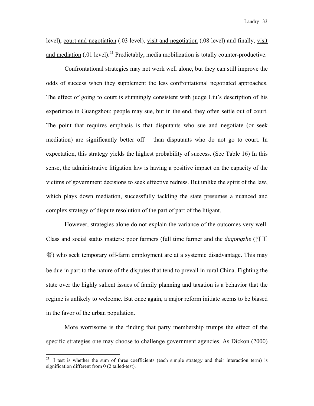level), court and negotiation (.03 level), visit and negotiation (.08 level) and finally, visit and mediation  $(0.01 \text{ level})^{21}$  Predictably, media mobilization is totally counter-productive.

Confrontational strategies may not work well alone, but they can still improve the odds of success when they supplement the less confrontational negotiated approaches. The effect of going to court is stunningly consistent with judge Liu's description of his experience in Guangzhou: people may sue, but in the end, they often settle out of court. The point that requires emphasis is that disputants who sue and negotiate (or seek mediation) are significantly better off than disputants who do not go to court. In expectation, this strategy yields the highest probability of success. (See Table 16) In this sense, the administrative litigation law is having a positive impact on the capacity of the victims of government decisions to seek effective redress. But unlike the spirit of the law, which plays down mediation, successfully tackling the state presumes a nuanced and complex strategy of dispute resolution of the part of part of the litigant.

However, strategies alone do not explain the variance of the outcomes very well. Class and social status matters: poor farmers (full time farmer and the *dagongzhe* (打工 着) who seek temporary off-farm employment are at a systemic disadvantage. This may be due in part to the nature of the disputes that tend to prevail in rural China. Fighting the state over the highly salient issues of family planning and taxation is a behavior that the regime is unlikely to welcome. But once again, a major reform initiate seems to be biased in the favor of the urban population.

More worrisome is the finding that party membership trumps the effect of the specific strategies one may choose to challenge government agencies. As Dickon (2000)

1

 $21$  I test is whether the sum of three coefficients (each simple strategy and their interaction term) is signification different from 0 (2 tailed-test).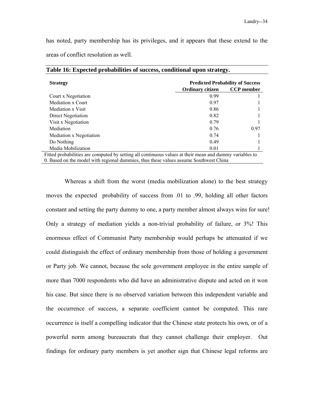has noted, party membership has its privileges, and it appears that these extend to the areas of conflict resolution as well.

| <b>Strategy</b>                                                                                         |                         | <b>Predicted Probability of Success</b> |
|---------------------------------------------------------------------------------------------------------|-------------------------|-----------------------------------------|
|                                                                                                         | <b>Ordinary citizen</b> | <b>CCP</b> member                       |
| Court x Negotiation                                                                                     | 0.99                    |                                         |
| Mediation x Court                                                                                       | 0.97                    |                                         |
| Mediation x Visit                                                                                       | 0.86                    |                                         |
| Direct Negotiation                                                                                      | 0.82                    |                                         |
| Visit x Negotiation                                                                                     | 0.79                    |                                         |
| Mediation                                                                                               | 0.76                    | 0.97                                    |
| Mediation x Negotiation                                                                                 | 0.74                    |                                         |
| Do Nothing                                                                                              | 0.49                    |                                         |
| Media Mobilization                                                                                      | 0.01                    |                                         |
| Fitted probabilities are computed by setting all continuous values at their mean and dummy variables to |                         |                                         |

**Table 16: Expected probabilities of success, conditional upon strategy.** 

0. Based on the model with regional dummies, thus these values assume Southwest China

Whereas a shift from the worst (media mobilization alone) to the best strategy moves the expected probability of success from .01 to .99, holding all other factors constant and setting the party dummy to one, a party member almost always wins for sure! Only a strategy of mediation yields a non-trivial probability of failure, or 3%! This enormous effect of Communist Party membership would perhaps be attenuated if we could distinguish the effect of ordinary membership from those of holding a government or Party job. We cannot, because the sole government employee in the entire sample of more than 7000 respondents who did have an administrative dispute and acted on it won his case. But since there is no observed variation between this independent variable and the occurrence of success, a separate coefficient cannot be computed. This rare occurrence is itself a compelling indicator that the Chinese state protects his own, or of a powerful norm among bureaucrats that they cannot challenge their employer. Out findings for ordinary party members is yet another sign that Chinese legal reforms are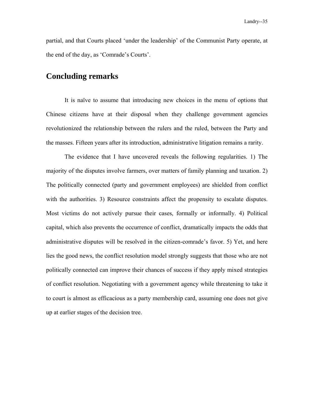partial, and that Courts placed 'under the leadership' of the Communist Party operate, at the end of the day, as 'Comrade's Courts'.

## **Concluding remarks**

It is naïve to assume that introducing new choices in the menu of options that Chinese citizens have at their disposal when they challenge government agencies revolutionized the relationship between the rulers and the ruled, between the Party and the masses. Fifteen years after its introduction, administrative litigation remains a rarity.

The evidence that I have uncovered reveals the following regularities. 1) The majority of the disputes involve farmers, over matters of family planning and taxation. 2) The politically connected (party and government employees) are shielded from conflict with the authorities. 3) Resource constraints affect the propensity to escalate disputes. Most victims do not actively pursue their cases, formally or informally. 4) Political capital, which also prevents the occurrence of conflict, dramatically impacts the odds that administrative disputes will be resolved in the citizen-comrade's favor. 5) Yet, and here lies the good news, the conflict resolution model strongly suggests that those who are not politically connected can improve their chances of success if they apply mixed strategies of conflict resolution. Negotiating with a government agency while threatening to take it to court is almost as efficacious as a party membership card, assuming one does not give up at earlier stages of the decision tree.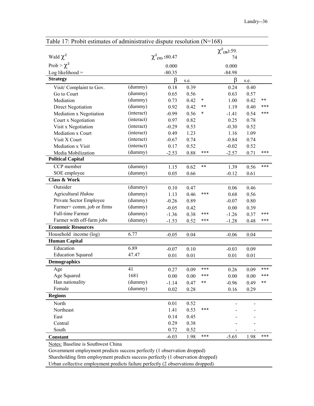| Table 17: Probit estimates of administrative dispute resolution $(N=168)$ |            |                        |      |        |                     |      |       |
|---------------------------------------------------------------------------|------------|------------------------|------|--------|---------------------|------|-------|
|                                                                           |            |                        |      |        | $\chi^2_{(26):59.}$ |      |       |
| Wald $\chi^2$                                                             |            | $\chi^2_{(31)}$ :80.47 |      |        | 74                  |      |       |
| Prob > $\chi^2$                                                           |            | 0.000                  |      |        | 0.000               |      |       |
| Log likelihood $=$                                                        |            | $-80.35$               |      |        | $-84.98$            |      |       |
| <b>Strategy</b>                                                           |            | β                      | s.e. |        | β                   | s.e. |       |
| Visit/Complaint to Gov.                                                   | (dummy)    | 0.18                   | 0.39 |        | 0.24                | 0.40 |       |
| Go to Court                                                               | (dummy)    | 0.65                   | 0.56 |        | 0.63                | 0.57 |       |
| Mediation                                                                 | (dummy)    | 0.73                   | 0.42 | $\ast$ | 1.00                | 0.42 | $***$ |
| Direct Negotiation                                                        | (dummy)    | 0.92                   | 0.42 | $***$  | 1.19                | 0.40 | ***   |
| Mediation x Negotiation                                                   | (interact) | $-0.99$                | 0.56 | *      | $-1.41$             | 0.54 | ***   |
| Court x Negotiation                                                       | (interact) | 0.97                   | 0.82 |        | 0.25                | 0.78 |       |
| Visit x Negotiation                                                       | (interact) | $-0.29$                | 0.53 |        | $-0.30$             | 0.52 |       |
| Mediation x Court                                                         | (interact) | 0.49                   | 1.23 |        | 1.16                | 1.09 |       |
| Visit X Court                                                             | (interact) | $-0.67$                | 0.74 |        | $-0.84$             | 0.74 |       |
| Mediation x Visit                                                         | (interact) | 0.17                   | 0.52 |        | $-0.02$             | 0.52 |       |
| Media Mobilization                                                        | (dummy)    | $-2.53$                | 0.88 | ***    | $-2.57$             | 0.71 | ***   |
| <b>Political Capital</b>                                                  |            |                        |      |        |                     |      |       |
| CCP member                                                                | (dummy)    | 1.15                   | 0.62 | $***$  | 1.39                | 0.56 | ***   |
| SOE employee                                                              | (dummy)    | 0.05                   | 0.66 |        | $-0.12$             | 0.61 |       |
| <b>Class &amp; Work</b>                                                   |            |                        |      |        |                     |      |       |
| Outsider                                                                  | (dummy)    | 0.10                   | 0.47 |        | 0.06                | 0.46 |       |
| Agricultural Hukou                                                        | (dummy)    | 1.13                   | 0.46 | ***    | 0.68                | 0.56 |       |
| Private Sector Employee                                                   | (dummy)    | $-0.26$                | 0.89 |        | $-0.07$             | 0.80 |       |
| Farmer+ commjob or firms                                                  | (dummy)    | $-0.05$                | 0.42 |        | 0.00                | 0.39 |       |
| Full-time Farmer                                                          | (dummy)    | $-1.36$                | 0.38 | ***    | $-1.26$             | 0.37 | ***   |
| Farmer with off-farm jobs                                                 | (dummy)    | $-1.53$                | 0.52 | ***    | $-1.28$             | 0.48 | ***   |
| <b>Economic Resources</b>                                                 |            |                        |      |        |                     |      |       |
| Household income (log)                                                    | 6.77       | $-0.05$                | 0.04 |        | $-0.06$             | 0.04 |       |
| <b>Human Capital</b>                                                      |            |                        |      |        |                     |      |       |
| Education                                                                 | 6.89       | $-0.07$                | 0.10 |        | $-0.03$             | 0.09 |       |
| <b>Education Squared</b>                                                  | 47.47      | 0.01                   | 0.01 |        | 0.01                | 0.01 |       |
| <b>Demographics</b>                                                       |            |                        |      |        |                     |      |       |
| $\rm Age$                                                                 | 41         | 0.27                   | 0.09 | ***    | 0.26                | 0.09 | ***   |
| Age Squared                                                               | 1681       | 0.00                   | 0.00 | ***    | 0.00                | 0.00 | ***   |
| Han nationality                                                           | (dummy)    | $-1.14$                | 0.47 | **     | $-0.96$             | 0.49 | $***$ |
| Female                                                                    | (dummy)    | 0.02                   | 0.28 |        | 0.16                | 0.29 |       |
| <b>Regions</b>                                                            |            |                        |      |        |                     |      |       |
| North                                                                     |            | 0.01                   | 0.52 |        |                     |      |       |
| Northeast                                                                 |            | 1.41                   | 0.53 | ***    |                     |      |       |
| East                                                                      |            | 0.14                   | 0.45 |        |                     |      |       |
| Central                                                                   |            | 0.29                   | 0.38 |        |                     |      |       |
| South                                                                     |            | 0.72                   | 0.52 |        |                     |      |       |
| <b>Constant</b>                                                           |            | $-6.03$                | 1.98 | ***    | $-5.65$             | 1.98 | ***   |

Notes: Baseline is Southwest China

Government employment predicts success perfectly (1 observation dropped)

Shareholding firm employment predicts success perfectly (1 observation dropped)

Urban collective employment predicts failure perfectly (2 observations dropped)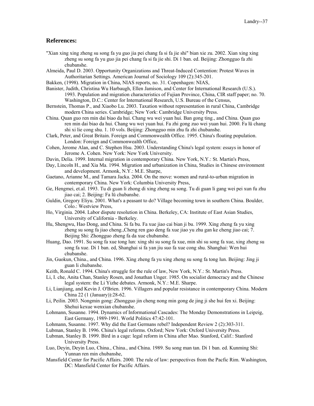#### **References:**

- "Xian xing xing zheng su song fa yu guo jia pei chang fa si fa jie shi" bian xie zu. 2002. Xian xing xing zheng su song fa yu guo jia pei chang fa si fa jie shi. Di 1 ban. ed. Beijing: Zhongguo fa zhi chubanshe.
- Almeida, Paul D. 2003. Opportunity Organizations and Threat-Induced Contention: Protest Waves in Authoritarian Settings. American Journal of Sociology 109 (2):345-201.
- Bakken, (1998). Migration in China, NIAS reports, no. 31. Copenhagen: NIAS,
- Banister, Judith, Christina Wu Harbaugh, Ellen Jamison, and Center for International Research (U.S.). 1993. Population and migration characteristics of Fujian Province, China, CIR staff paper; no. 70. Washington, D.C.: Center for International Research, U.S. Bureau of the Census,
- Bernstein, Thomas P., and Xiaobo Lu. 2003. Taxation without representation in rural China, Cambridge modern China series. Cambridge; New York: Cambridge University Press.
- China. Quan guo ren min dai biao da hui. Chang wu wei yuan hui. Ban gong ting., and China. Quan guo ren min dai biao da hui. Chang wu wei yuan hui. Fa zhi gong zuo wei yuan hui. 2000. Fa lü chang shi xi lie cong shu. 1. 10 vols. Beijing: Zhongguo min zhu fa zhi chubanshe.
- Clark, Peter, and Great Britain. Foreign and Commonwealth Office. 1995. China's floating population. London: Foreign and Commonwealth Office,
- Cohen, Jerome Alan, and C. Stephen Hsu. 2003. Understanding China's legal system: essays in honor of Jerome A. Cohen. New York: New York University.
- Davin, Delia. 1999. Internal migration in contemporary China. New York, N.Y.: St. Martin's Press,
- Day, Lincoln H., and Xia Ma. 1994. Migration and urbanization in China, Studies in Chinese environment and development. Armonk, N.Y.: M.E. Sharpe,
- Gaetano, Arianne M., and Tamara Jacka. 2004. On the move: women and rural-to-urban migration in contemporary China. New York: Columbia University Press,
- Ge, Hengmei, et.al. 1993. Tu di guan li zhong di xing zheng su song. Tu di guan li gang wei pei xun fu zhu jiao cai; 2. Beijing: Fa lü chubanshe.
- Guldin, Gregory Eliyu. 2001. What's a peasant to do? Village becoming town in southern China. Boulder, Colo.: Westview Press,
- Ho, Virginia. 2004. Labor dispute resolution in China. Berkeley, CA: Institute of East Asian Studies, University of California - Berkeley.
- Hu, Shengwu, Hao Dong, and China. Si fa bu. Fa xue jiao cai bian ji bu. 1999. Xing zheng fa yu xing zheng su song fa jiao cheng.,Cheng ren gao deng fa xue jiao yu zhu gan ke cheng jiao cai; 7. Beijing Shi: Zhongguo zheng fa da xue chubanshe.
- Huang, Dao. 1991. Su song fa xue tong lun: xing shi su song fa xue, min shi su song fa xue, xing zheng su song fa xue. Di 1 ban. ed, Shanghai si fa yan jiu suo fa xue cong shu. Shanghai: Wen hui chubanshe.
- Jin, Guokun, China., and China. 1996. Xing zheng fa yu xing zheng su song fa tong lun. Beijing: Jing ji guan li chubanshe.
- Keith, Ronald C. 1994. China's struggle for the rule of law, New York, N.Y.: St. Martin's Press.
- Li, I. che, Anita Chan, Stanley Rosen, and Jonathan Unger. 1985. On socialist democracy and the Chinese legal system: the Li Yizhe debates. Armonk, N.Y.: M.E. Sharpe.
- Li, Lianjiang, and Kevin J. O'Brien. 1996. Villagers and popular resistance in contemporary China. Modern China 22 (1 (January)):28-62.
- Li, Peilin. 2003. Nongmin gong: Zhongguo jin cheng nong min gong de jing ji she hui fen xi. Beijing: Shehui kexue wenxian chubanshe.
- Lohmann, Susanne. 1994. Dynamics of Informational Cascades: The Monday Demonstrations in Leipzig, East Germany, 1989-1991. World Politics 47:42-101.
- Lohmann, Susanne. 1997. Why did the East Germans rebel? Independent Review 2 (2):303-311.
- Lubman, Stanley B. 1996. China's legal reforms. Oxford; New York: Oxford University Press.
- Lubman, Stanley B. 1999. Bird in a cage: legal reform in China after Mao. Stanford, Calif.: Stanford University Press.
- Luo, Deyin, Deyin Luo, China., China., and China. 1989. Su song man tan. Di 1 ban. ed. Kunming Shi: Yunnan ren min chubanshe,
- Mansfield Center for Pacific Affairs. 2000. The rule of law: perspectives from the Pacfic Rim. Washington, DC: Mansfield Center for Pacific Affairs.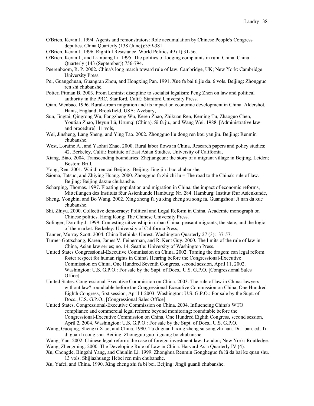- O'Brien, Kevin J. 1994. Agents and remonstrators: Role accumulation by Chinese People's Congress deputies. China Quarterly (138 (June)):359-381.
- O'Brien, Kevin J. 1996. Rightful Resistance. World Politics 49 (1):31-56.
- O'Brien, Kevin J., and Lianjiang Li. 1995. The politics of lodging complaints in rural China. China Quarterly (143 (September)):756-794.
- Peerenboom, R. P. 2002. China's long march toward rule of law. Cambridge, UK; New York: Cambridge University Press.
- Pei, Guangchuan, Guangran Zhou, and Hongxing Pan. 1991. Xue fa bai ti jie da. 6 vols. Beijing: Zhongguo ren shi chubanshe.
- Potter, Pitman B. 2003. From Leninist discipline to socialist legalism: Peng Zhen on law and political authority in the PRC. Stanford, Calif.: Stanford University Press.
- Qian, Wenbao. 1996. Rural-urban migration and its impact on economic development in China. Aldershot, Hants, England; Brookfield, USA: Avebury,
- Sun, Jingtai, Qingrong Wu, Fangzheng Wu, Keren Zhao, Zhikuan Ren, Keming Tu, Zhaoguo Chen, Youtian Zhao, Heyun Lü, Urumqi (China). Si fa ju., and Wang Wei. 1988. [Administrative law and procedure]. 11 vols,
- Wei, Jinsheng, Lang Sheng, and Ying Tao. 2002. Zhongguo liu dong ren kou yan jiu. Beijing: Renmin chubanshe.
- West, Loraine A., and Yaohui Zhao. 2000. Rural labor flows in China, Research papers and policy studies; 42. Berkeley, Calif.: Institute of East Asian Studies, University of California,
- Xiang, Biao. 2004. Transcending boundaries: Zhejiangcun: the story of a migrant village in Beijing. Leiden; Boston: Brill,
- Yong, Ren. 2001. Wai di ren zai Beijing.. Beijing: Jing ji ri bao chubanshe,
- Såoma, Tatsuo, and Zhiying Huang. 2000. Zhongguo fa zhi zhi lu = The road to the China's rule of law. Beijing: Beijing daxue chubanshe.
- Scharping, Thomas. 1997. Floating population and migration in China: the impact of economic reforms, Mitteilungen des Instituts fèur Asienkunde Hamburg; Nr. 284. Hamburg: Institut fèur Asienkunde,
- Sheng, Yongbin, and Bo Wang. 2002. Xing zheng fa yu xing zheng su song fa. Guangzhou: Ji nan da xue chubanshe.
- Shi, Zhiyu. 2000. Collective democracy: Political and Legal Reform in China, Academic monograph on Chinese politics. Hong Kong: The Chinese University Press.
- Solinger, Dorothy J. 1999. Contesting citizenship in urban China: peasant migrants, the state, and the logic of the market. Berkeley: University of California Press,
- Tanner, Murray Scott. 2004. China Rethinks Unrest. Washington Quarterly 27 (3):137-57.
- Turner-Gottschang, Karen, James V. Feinerman, and R. Kent Guy. 2000. The limits of the rule of law in China, Asian law series; no. 14. Seattle: University of Washington Press.
- United States Congressional-Executive Commission on China. 2002. Taming the dragon: can legal reform foster respect for human rights in China? Hearing before the Congressional-Executive Commission on China, One Hundred Seventh Congress, second session, April 11, 2002. Washington: U.S. G.P.O.: For sale by the Supt. of Docs., U.S. G.P.O. [Congressional Sales Office].
- United States. Congressional-Executive Commission on China. 2003. The rule of law in China: lawyers without law? roundtable before the Congressional-Executive Commission on China, One Hundred Eighth Congress, first session, April 1 2003. Washington: U.S. G.P.O.: For sale by the Supt. of Docs., U.S. G.P.O., [Congressional Sales Office].
- United States. Congressional-Executive Commission on China. 2004. Influencing China's WTO compliance and commercial legal reform: beyond monitoring: roundtable before the Congressional-Executive Commission on China, One Hundred Eighth Congress, second session, April 2, 2004. Washington: U.S. G.P.O.: For sale by the Supt. of Docs., U.S. G.P.O.
- Wang, Guoqing, Shengxi Xiao, and China. 1990. Tu di guan li xing zheng su song zhi nan. Di 1 ban. ed, Tu di guan li cong shu. Beijing: Zhongguo guo ji guang bo chubanshe.
- Wang, Yan. 2002. Chinese legal reform: the case of foreign investment law. London; New York: Routledge. Wang, Zhengming. 2000. The Developing Rule of Law in China. Harvard Asia Quarterly IV (4).
- Xu, Chongde, Bingzhi Yang, and Chunlin Li. 1999. Zhonghua Renmin Gongheguo fa lü da bai ke quan shu. 13 vols. Shijiazhuang: Hebei ren min chubanshe.
- Xu, Yafei, and China. 1990. Xing zheng zhi fa bi bei. Beijing: Jingji guanli chubanshe.